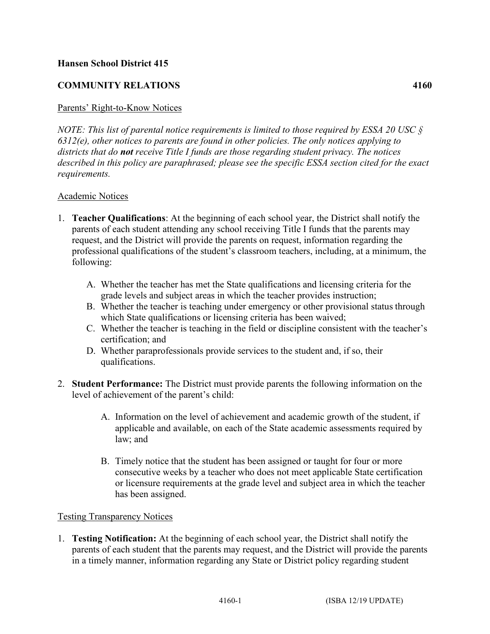### **Hansen School District 415**

### **COMMUNITY RELATIONS 4160**

### Parents' Right-to-Know Notices

*NOTE: This list of parental notice requirements is limited to those required by ESSA 20 USC § 6312(e), other notices to parents are found in other policies. The only notices applying to districts that do not receive Title I funds are those regarding student privacy. The notices described in this policy are paraphrased; please see the specific ESSA section cited for the exact requirements.*

#### Academic Notices

- 1. **Teacher Qualifications**: At the beginning of each school year, the District shall notify the parents of each student attending any school receiving Title I funds that the parents may request, and the District will provide the parents on request, information regarding the professional qualifications of the student's classroom teachers, including, at a minimum, the following:
	- A. Whether the teacher has met the State qualifications and licensing criteria for the grade levels and subject areas in which the teacher provides instruction;
	- B. Whether the teacher is teaching under emergency or other provisional status through which State qualifications or licensing criteria has been waived;
	- C. Whether the teacher is teaching in the field or discipline consistent with the teacher's certification; and
	- D. Whether paraprofessionals provide services to the student and, if so, their qualifications.
- 2. **Student Performance:** The District must provide parents the following information on the level of achievement of the parent's child:
	- A. Information on the level of achievement and academic growth of the student, if applicable and available, on each of the State academic assessments required by law; and
	- B. Timely notice that the student has been assigned or taught for four or more consecutive weeks by a teacher who does not meet applicable State certification or licensure requirements at the grade level and subject area in which the teacher has been assigned.

#### Testing Transparency Notices

1. **Testing Notification:** At the beginning of each school year, the District shall notify the parents of each student that the parents may request, and the District will provide the parents in a timely manner, information regarding any State or District policy regarding student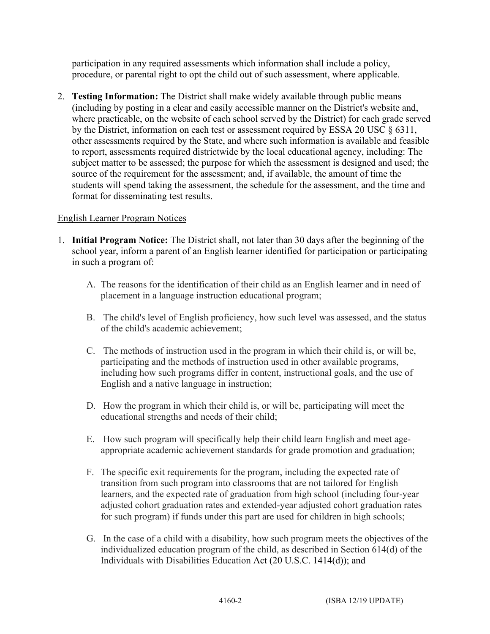participation in any required assessments which information shall include a policy, procedure, or parental right to opt the child out of such assessment, where applicable.

2. **Testing Information:** The District shall make widely available through public means (including by posting in a clear and easily accessible manner on the District's website and, where practicable, on the website of each school served by the District) for each grade served by the District, information on each test or assessment required by ESSA 20 USC § 6311, other assessments required by the State, and where such information is available and feasible to report, assessments required districtwide by the local educational agency, including: The subject matter to be assessed; the purpose for which the assessment is designed and used; the source of the requirement for the assessment; and, if available, the amount of time the students will spend taking the assessment, the schedule for the assessment, and the time and format for disseminating test results.

## English Learner Program Notices

- 1. **Initial Program Notice:** The District shall, not later than 30 days after the beginning of the school year, inform a parent of an English learner identified for participation or participating in such a program of:
	- A. The reasons for the identification of their child as an English learner and in need of placement in a language instruction educational program;
	- B. The child's level of English proficiency, how such level was assessed, and the status of the child's academic achievement;
	- C. The methods of instruction used in the program in which their child is, or will be, participating and the methods of instruction used in other available programs, including how such programs differ in content, instructional goals, and the use of English and a native language in instruction;
	- D. How the program in which their child is, or will be, participating will meet the educational strengths and needs of their child;
	- E. How such program will specifically help their child learn English and meet ageappropriate academic achievement standards for grade promotion and graduation;
	- F. The specific exit requirements for the program, including the expected rate of transition from such program into classrooms that are not tailored for English learners, and the expected rate of graduation from high school (including four-year adjusted cohort graduation rates and extended-year adjusted cohort graduation rates for such program) if funds under this part are used for children in high schools;
	- G. In the case of a child with a disability, how such program meets the objectives of the individualized education program of the child, as described in Section 614(d) of the Individuals with Disabilities Education Act (20 U.S.C. 1414(d)); and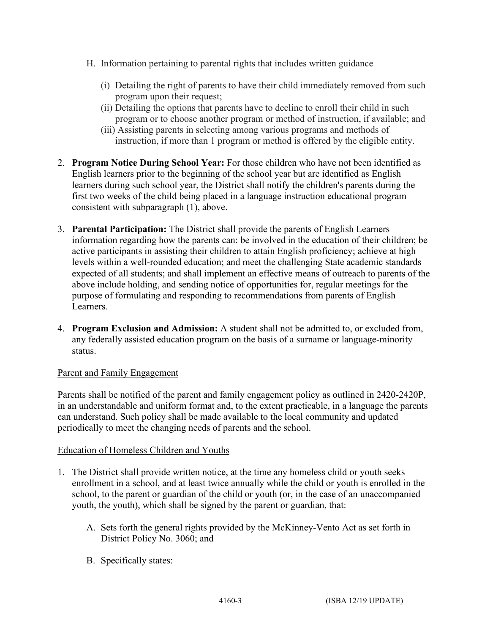- H. Information pertaining to parental rights that includes written guidance—
	- (i) Detailing the right of parents to have their child immediately removed from such program upon their request;
	- (ii) Detailing the options that parents have to decline to enroll their child in such program or to choose another program or method of instruction, if available; and
	- (iii) Assisting parents in selecting among various programs and methods of instruction, if more than 1 program or method is offered by the eligible entity.
- 2. **Program Notice During School Year:** For those children who have not been identified as English learners prior to the beginning of the school year but are identified as English learners during such school year, the District shall notify the children's parents during the first two weeks of the child being placed in a language instruction educational program consistent with subparagraph (1), above.
- 3. **Parental Participation:** The District shall provide the parents of English Learners information regarding how the parents can: be involved in the education of their children; be active participants in assisting their children to attain English proficiency; achieve at high levels within a well-rounded education; and meet the challenging State academic standards expected of all students; and shall implement an effective means of outreach to parents of the above include holding, and sending notice of opportunities for, regular meetings for the purpose of formulating and responding to recommendations from parents of English Learners.
- 4. **Program Exclusion and Admission:** A student shall not be admitted to, or excluded from, any federally assisted education program on the basis of a surname or language-minority status.

### Parent and Family Engagement

Parents shall be notified of the parent and family engagement policy as outlined in 2420-2420P, in an understandable and uniform format and, to the extent practicable, in a language the parents can understand. Such policy shall be made available to the local community and updated periodically to meet the changing needs of parents and the school.

### Education of Homeless Children and Youths

- 1. The District shall provide written notice, at the time any homeless child or youth seeks enrollment in a school, and at least twice annually while the child or youth is enrolled in the school, to the parent or guardian of the child or youth (or, in the case of an unaccompanied youth, the youth), which shall be signed by the parent or guardian, that:
	- A. Sets forth the general rights provided by the McKinney-Vento Act as set forth in District Policy No. 3060; and
	- B. Specifically states: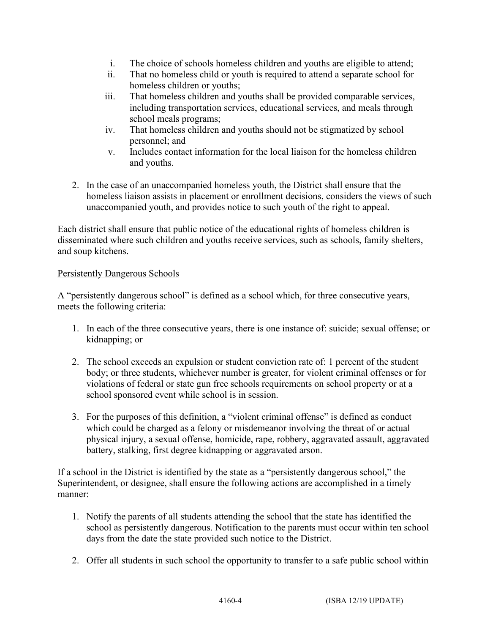- i. The choice of schools homeless children and youths are eligible to attend;
- ii. That no homeless child or youth is required to attend a separate school for homeless children or youths;
- iii. That homeless children and youths shall be provided comparable services, including transportation services, educational services, and meals through school meals programs;
- iv. That homeless children and youths should not be stigmatized by school personnel; and
- v. Includes contact information for the local liaison for the homeless children and youths.
- 2. In the case of an unaccompanied homeless youth, the District shall ensure that the homeless liaison assists in placement or enrollment decisions, considers the views of such unaccompanied youth, and provides notice to such youth of the right to appeal.

Each district shall ensure that public notice of the educational rights of homeless children is disseminated where such children and youths receive services, such as schools, family shelters, and soup kitchens.

# Persistently Dangerous Schools

A "persistently dangerous school" is defined as a school which, for three consecutive years, meets the following criteria:

- 1. In each of the three consecutive years, there is one instance of: suicide; sexual offense; or kidnapping; or
- 2. The school exceeds an expulsion or student conviction rate of: 1 percent of the student body; or three students, whichever number is greater, for violent criminal offenses or for violations of federal or state gun free schools requirements on school property or at a school sponsored event while school is in session.
- 3. For the purposes of this definition, a "violent criminal offense" is defined as conduct which could be charged as a felony or misdemeanor involving the threat of or actual physical injury, a sexual offense, homicide, rape, robbery, aggravated assault, aggravated battery, stalking, first degree kidnapping or aggravated arson.

If a school in the District is identified by the state as a "persistently dangerous school," the Superintendent, or designee, shall ensure the following actions are accomplished in a timely manner:

- 1. Notify the parents of all students attending the school that the state has identified the school as persistently dangerous. Notification to the parents must occur within ten school days from the date the state provided such notice to the District.
- 2. Offer all students in such school the opportunity to transfer to a safe public school within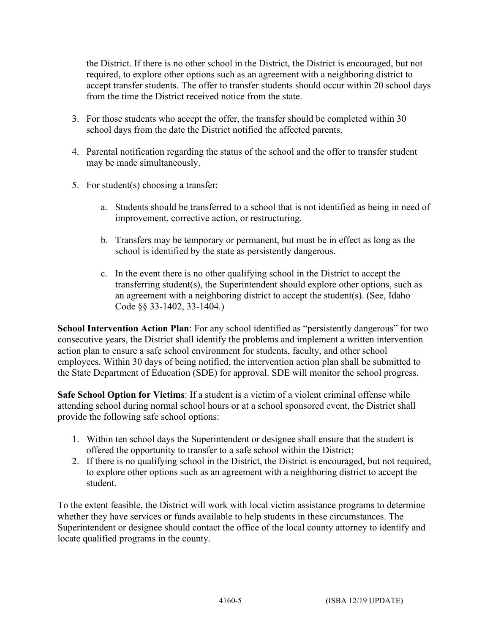the District. If there is no other school in the District, the District is encouraged, but not required, to explore other options such as an agreement with a neighboring district to accept transfer students. The offer to transfer students should occur within 20 school days from the time the District received notice from the state.

- 3. For those students who accept the offer, the transfer should be completed within 30 school days from the date the District notified the affected parents.
- 4. Parental notification regarding the status of the school and the offer to transfer student may be made simultaneously.
- 5. For student(s) choosing a transfer:
	- a. Students should be transferred to a school that is not identified as being in need of improvement, corrective action, or restructuring.
	- b. Transfers may be temporary or permanent, but must be in effect as long as the school is identified by the state as persistently dangerous.
	- c. In the event there is no other qualifying school in the District to accept the transferring student(s), the Superintendent should explore other options, such as an agreement with a neighboring district to accept the student(s). (See, Idaho Code §§ 33-1402, 33-1404.)

**School Intervention Action Plan**: For any school identified as "persistently dangerous" for two consecutive years, the District shall identify the problems and implement a written intervention action plan to ensure a safe school environment for students, faculty, and other school employees. Within 30 days of being notified, the intervention action plan shall be submitted to the State Department of Education (SDE) for approval. SDE will monitor the school progress.

**Safe School Option for Victims**: If a student is a victim of a violent criminal offense while attending school during normal school hours or at a school sponsored event, the District shall provide the following safe school options:

- 1. Within ten school days the Superintendent or designee shall ensure that the student is offered the opportunity to transfer to a safe school within the District;
- 2. If there is no qualifying school in the District, the District is encouraged, but not required, to explore other options such as an agreement with a neighboring district to accept the student.

To the extent feasible, the District will work with local victim assistance programs to determine whether they have services or funds available to help students in these circumstances. The Superintendent or designee should contact the office of the local county attorney to identify and locate qualified programs in the county.